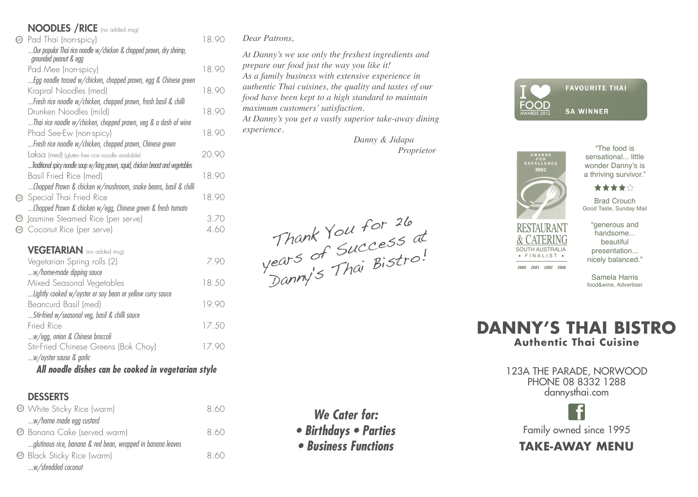# NOODLES /RICE (no added msg)

| GP)  | Pad Thai (non-spicy)                                                                         | 18.90 |
|------|----------------------------------------------------------------------------------------------|-------|
|      | Our popular Thai rice noodle w/chicken & chopped prawn, dry shrimp,<br>grounded peanut & egg |       |
|      | Pad Mee (non-spicy)                                                                          | 18.90 |
|      | Egg noodle tossed w/chicken, chopped prawn, egg & Chinese green                              |       |
|      | Krapral Noodles (med)                                                                        | 18.90 |
|      | Fresh rice noodle w/chicken, chopped prawn, fresh basil & chilli                             |       |
|      | Drunken Noodles (mild)                                                                       | 18.90 |
|      | Thai rice noodle w/chicken, chopped prawn, veg & a dash of wine                              |       |
|      | Phad See-Ew (non-spicy)                                                                      | 18.90 |
|      | Fresh rice noodle w/chicken, chopped prawn, Chinese green                                    |       |
|      | Laksa (med) (gluten free rice noodle available)                                              | 20.90 |
|      | Traditional spicy noodle soup w/king prawn, squid, chicken breast and vegetables             |       |
|      | Basil Fried Rice (med)                                                                       | 18.90 |
|      | Chopped Prawn & chicken w/mushroom, snake beans, basil & chilli                              |       |
|      | <b>B</b> Special Thai Fried Rice                                                             | 18.90 |
|      | Chopped Prawn & chicken w/egg, Chinese green & fresh tomato                                  |       |
|      | <b>@</b> Jasmine Steamed Rice (per serve)                                                    | 3.70  |
| (GF) | Coconut Rice (per serve)                                                                     | 4 60  |
|      |                                                                                              |       |

### VEGETARIAN (no added msa)

| Basil Fried Rice (med)                                          | 1890  |
|-----------------------------------------------------------------|-------|
| Chopped Prawn & chicken w/mushroom, snake beans, basil & chilli |       |
| Special Thai Fried Rice                                         | 18.90 |
| Chopped Prawn & chicken w/egg, Chinese green & fresh tomato     |       |
| Jasmine Steamed Rice (per serve)                                | 3.70  |
| Coconut Rice (per serve)                                        | 4.60  |
|                                                                 |       |
| <b>VEGETARIAN</b> (no added msg)                                |       |
| Vegetarian Spring rolls (2)                                     | 7.90  |
| w/home-made dipping sauce                                       |       |
| Mixed Seasonal Vegetables                                       | 18.50 |
| Lightly cooked w/oyster or soy bean or yellow curry sauce       |       |
| Beancurd Basil (med)                                            | 19.90 |
| Stir-fried w/seasonal veg, basil & chilli sauce                 |       |
| Fried Rice                                                      | 17.50 |
| w/egg, onion & Chinese broccoli                                 |       |
| Stir-Fried Chinese Greens (Bok Choy)                            | 17.90 |
| w/oyster sause & garlic                                         |       |
|                                                                 |       |

#### *All noodle dishes can be cooked in vegetarian style All Noodles Dish can be cooked in Vegetarian*

# DESSERTS DESSERTS

| <b>ED</b> White Sticky Rice (warm)                          |     |
|-------------------------------------------------------------|-----|
| w/home made egg custard                                     |     |
| <b>E</b> Banana Cake (served warm)                          | 860 |
| glutinous rice, banana & red bean, wrapped in banana leaves |     |
| <b>E</b> Black Sticky Rice (warm)                           | 860 |
| w/shredded coconut                                          |     |
|                                                             |     |

#### *Dear Patrons, Dear Patrons,*

*At Danny's we use only the freshest ingredients and At Danny's we use only the freshest ingredients and prepare our food just the way you like it!* prepare our food just the way you like it!<br>As a family business with extensive experience in *authentic Thai cuisines, the quality and tastes of our Thai tastes of food have been kept to a high standard to maintain high to maximum customers' satisfaction. satisfaction.*

*At Danny's you get a vastly superior take-away dining Danny's you get a vastly superior take-away dining experience.* 

 *Danny & Jidapa Danny & Jidapa Proprietor Proprietor*

Thank You for 26 Thank You"<br>years of Success at ears of Succession of the Bistro! Thank You for 26





*2000 2001 2002 2006*

SOUTH AUSTRALIA  $\cdot$  FINALIST  $\cdot$ 

"The food is sensational... little wonder Danny's is a thriving survivor."



Brad Crouch Good Taste, Sunday Mail

"generous and handsome... beautiful presentation... nicely balanced."

Samela Harris food&wine, Advertiser



123A THE PARADE, NORWOOD 123A THE PARADE, NORWOOD PHONE 08 8332 1288 PHONE 08 8332 1288 dannysthai.com



# **TAKE-AWAY MENU TAKE-AWAY MENU**

*We Cater for: • Birthdays • Parties*

*• Business Functions*